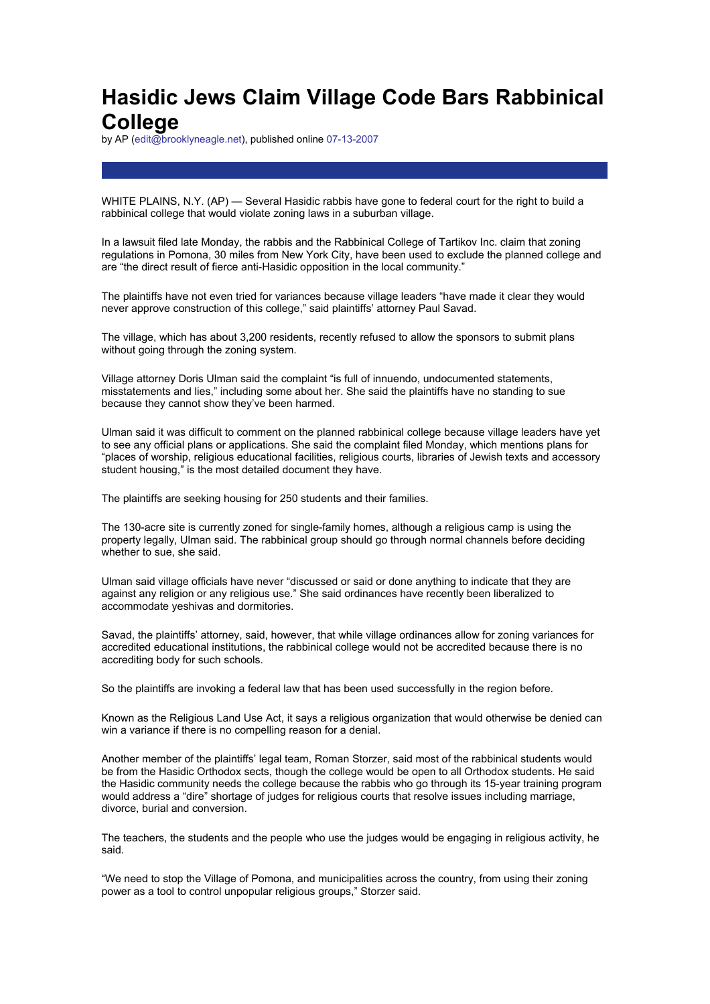## **Hasidic Jews Claim Village Code Bars Rabbinical College**

by AP (edit@brooklyneagle.net), published online 07-13-2007

WHITE PLAINS, N.Y. (AP) — Several Hasidic rabbis have gone to federal court for the right to build a rabbinical college that would violate zoning laws in a suburban village.

In a lawsuit filed late Monday, the rabbis and the Rabbinical College of Tartikov Inc. claim that zoning regulations in Pomona, 30 miles from New York City, have been used to exclude the planned college and are "the direct result of fierce anti-Hasidic opposition in the local community."

The plaintiffs have not even tried for variances because village leaders "have made it clear they would never approve construction of this college," said plaintiffs' attorney Paul Savad.

The village, which has about 3,200 residents, recently refused to allow the sponsors to submit plans without going through the zoning system.

Village attorney Doris Ulman said the complaint "is full of innuendo, undocumented statements, misstatements and lies," including some about her. She said the plaintiffs have no standing to sue because they cannot show they've been harmed.

Ulman said it was difficult to comment on the planned rabbinical college because village leaders have yet to see any official plans or applications. She said the complaint filed Monday, which mentions plans for "places of worship, religious educational facilities, religious courts, libraries of Jewish texts and accessory student housing," is the most detailed document they have.

The plaintiffs are seeking housing for 250 students and their families.

The 130-acre site is currently zoned for single-family homes, although a religious camp is using the property legally, Ulman said. The rabbinical group should go through normal channels before deciding whether to sue, she said.

Ulman said village officials have never "discussed or said or done anything to indicate that they are against any religion or any religious use." She said ordinances have recently been liberalized to accommodate yeshivas and dormitories.

Savad, the plaintiffs' attorney, said, however, that while village ordinances allow for zoning variances for accredited educational institutions, the rabbinical college would not be accredited because there is no accrediting body for such schools.

So the plaintiffs are invoking a federal law that has been used successfully in the region before.

Known as the Religious Land Use Act, it says a religious organization that would otherwise be denied can win a variance if there is no compelling reason for a denial.

Another member of the plaintiffs' legal team, Roman Storzer, said most of the rabbinical students would be from the Hasidic Orthodox sects, though the college would be open to all Orthodox students. He said the Hasidic community needs the college because the rabbis who go through its 15-year training program would address a "dire" shortage of judges for religious courts that resolve issues including marriage, divorce, burial and conversion.

The teachers, the students and the people who use the judges would be engaging in religious activity, he said.

"We need to stop the Village of Pomona, and municipalities across the country, from using their zoning power as a tool to control unpopular religious groups," Storzer said.